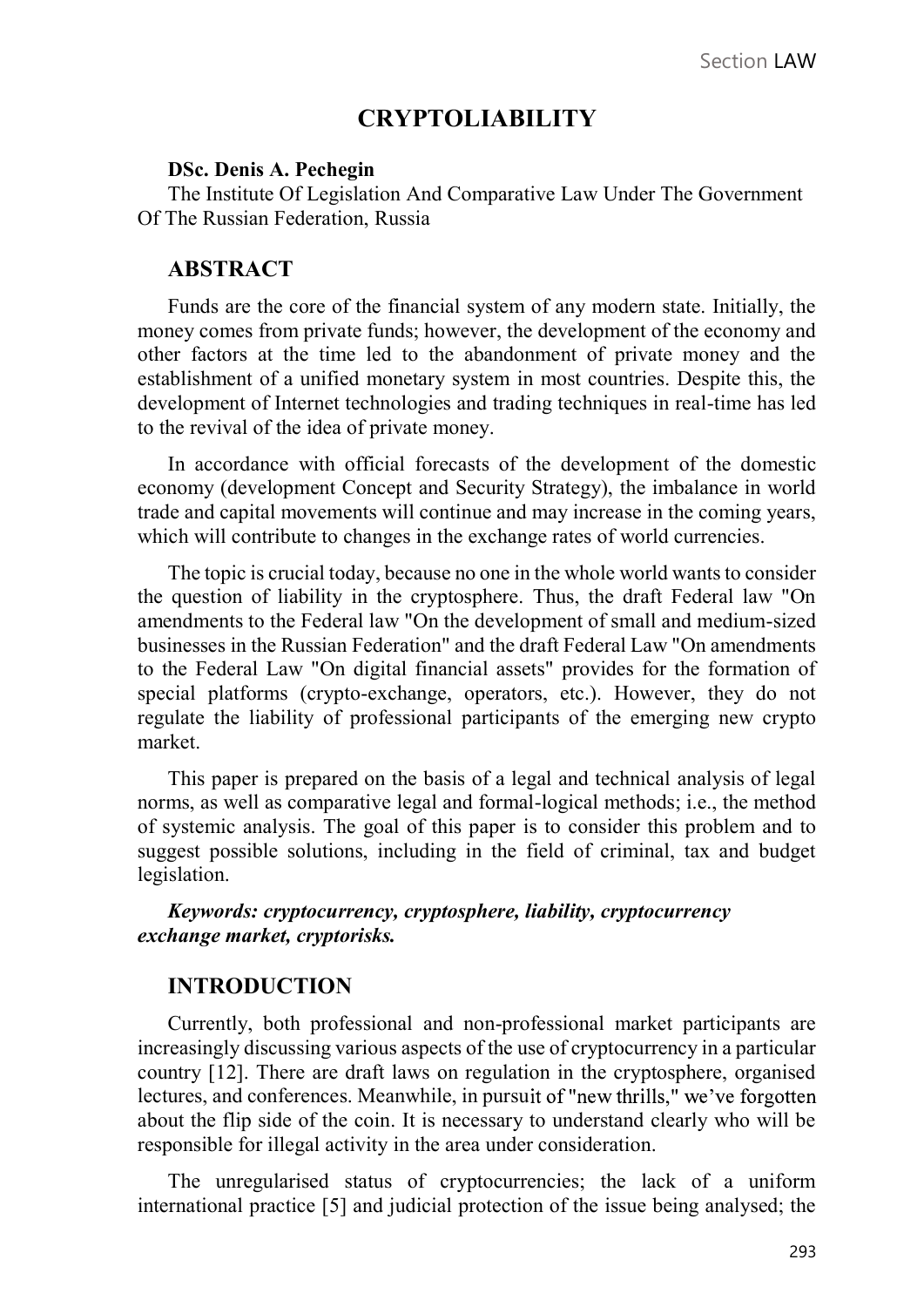# **CRYPTOLIABILITY**

#### DSc. Denis A. Pechegin

The Institute Of Legislation And Comparative Law Under The Government Of The Russian Federation, Russia

### **ABSTRACT**

Funds are the core of the financial system of any modern state. Initially, the money comes from private funds; however, the development of the economy and other factors at the time led to the abandonment of private money and the establishment of a unified monetary system in most countries. Despite this, the development of Internet technologies and trading techniques in real-time has led to the revival of the idea of private money.

In accordance with official forecasts of the development of the domestic economy (development Concept and Security Strategy), the imbalance in world trade and capital movements will continue and may increase in the coming years, which will contribute to changes in the exchange rates of world currencies.

The topic is crucial today, because no one in the whole world wants to consider the question of liability in the cryptosphere. Thus, the draft Federal law "On amendments to the Federal law "On the development of small and medium-sized businesses in the Russian Federation" and the draft Federal Law "On amendments to the Federal Law "On digital financial assets" provides for the formation of special platforms (crypto-exchange, operators, etc.). However, they do not regulate the liability of professional participants of the emerging new crypto market.

This paper is prepared on the basis of a legal and technical analysis of legal norms, as well as comparative legal and formal-logical methods; i.e., the method of systemic analysis. The goal of this paper is to consider this problem and to suggest possible solutions, including in the field of criminal, tax and budget legislation.

Keywords: cryptocurrency, cryptosphere, liability, cryptocurrency exchange market, cryptorisks.

#### INTRODUCTION

Currently, both professional and non-professional market participants are increasingly discussing various aspects of the use of cryptocurrency in a particular country [12]. There are draft laws on regulation in the cryptosphere, organised lectures, and conferences. Meanwhile, in pursuit of "new thrills," we've forgotten about the flip side of the coin. It is necessary to understand clearly who will be responsible for illegal activity in the area under consideration.

The unregularised status of cryptocurrencies; the lack of a uniform international practice [5] and judicial protection of the issue being analysed; the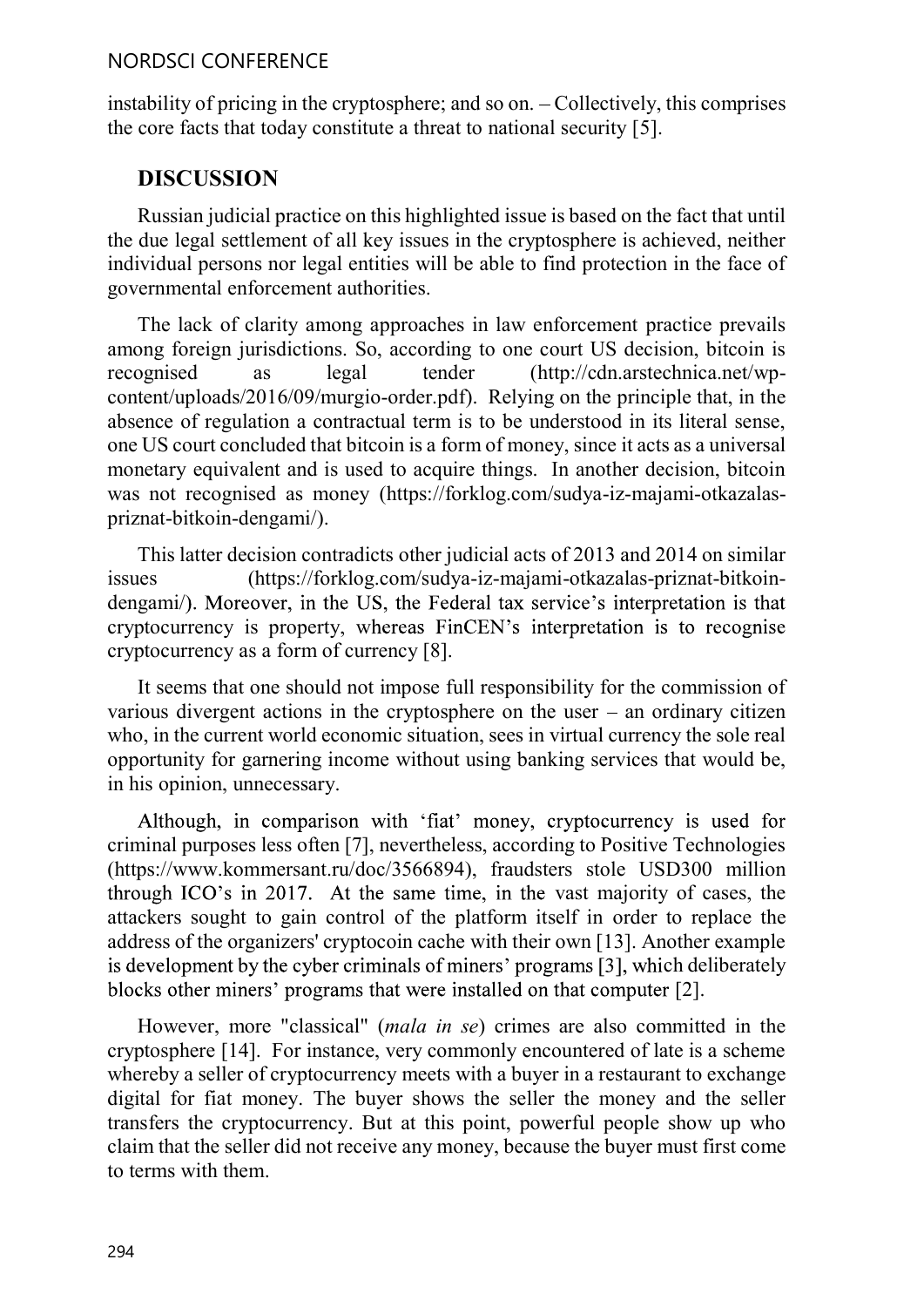### NORDSCI CONFERENCE

instability of pricing in the cryptosphere; and so on. - Collectively, this comprises the core facts that today constitute a threat to national security [5].

# DISCUSSION

Russian judicial practice on this highlighted issue is based on the fact that until the due legal settlement of all key issues in the cryptosphere is achieved, neither individual persons nor legal entities will be able to find protection in the face of governmental enforcement authorities.

The lack of clarity among approaches in law enforcement practice prevails among foreign jurisdictions. So, according to one court US decision, bitcoin is recognised as legal tender (http://cdn.arstechnica.net/wpcontent/uploads/2016/09/murgio-order.pdf). Relying on the principle that, in the absence of regulation a contractual term is to be understood in its literal sense, one US court concluded that bitcoin is a form of money, since it acts as a universal monetary equivalent and is used to acquire things. In another decision, bitcoin was not recognised as money (https://forklog.com/sudya-iz-majami-otkazalaspriznat-bitkoin-dengami/).

This latter decision contradicts other judicial acts of 2013 and 2014 on similar issues (https://forklog.com/sudya-iz-majami-otkazalas-priznat-bitkoindengami/). Moreover, in the US, the Federal tax service's interpretation is that cryptocurrency is property, whereas FinCEN's interpretation is to recognise cryptocurrency as a form of currency [8].

It seems that one should not impose full responsibility for the commission of various divergent actions in the cryptosphere on the user  $-$  an ordinary citizen who, in the current world economic situation, sees in virtual currency the sole real opportunity for garnering income without using banking services that would be, in his opinion, unnecessary.

Although, in comparison with 'fiat' money, cryptocurrency is used for criminal purposes less often [7], nevertheless, according to Positive Technologies (https://www.kommersant.ru/doc/3566894), fraudsters stole USD300 million through ICO's in 2017. At the same time, in the vast majority of cases, the attackers sought to gain control of the platform itself in order to replace the address of the organizers' cryptocoin cache with their own [13]. Another example is development by the cyber criminals of miners' programs [3], which deliberately blocks other miners' programs that were installed on that computer [2].

However, more "classical" (mala in se) crimes are also committed in the cryptosphere [14]. For instance, very commonly encountered of late is a scheme whereby a seller of cryptocurrency meets with a buyer in a restaurant to exchange digital for fiat money. The buyer shows the seller the money and the seller transfers the cryptocurrency. But at this point, powerful people show up who claim that the seller did not receive any money, because the buyer must first come to terms with them.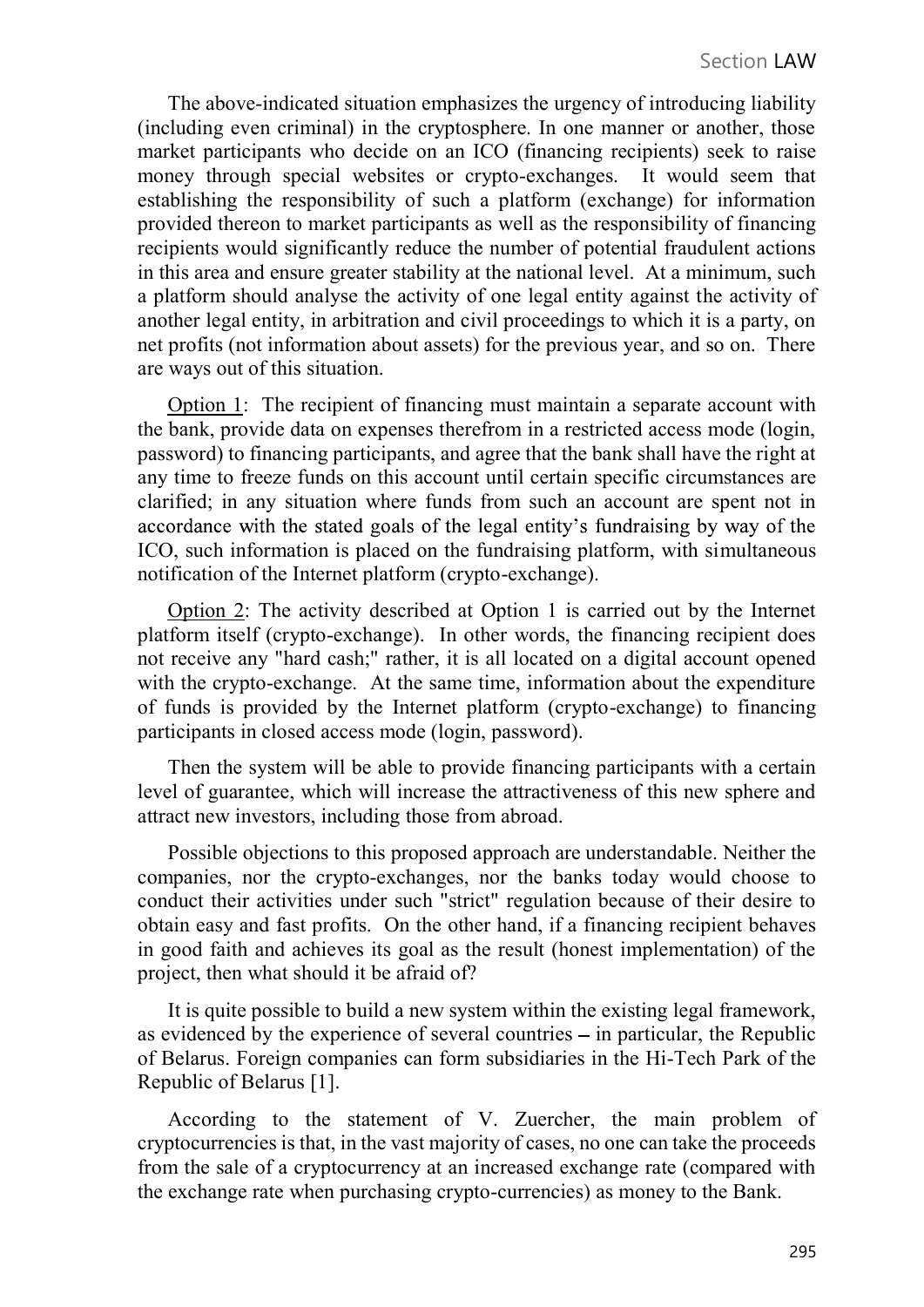The above-indicated situation emphasizes the urgency of introducing liability (including even criminal) in the cryptosphere. In one manner or another, those market participants who decide on an ICO (financing recipients) seek to raise money through special websites or crypto-exchanges. It would seem that establishing the responsibility of such a platform (exchange) for information provided thereon to market participants as well as the responsibility of financing recipients would significantly reduce the number of potential fraudulent actions in this area and ensure greater stability at the national level. At a minimum, such a platform should analyse the activity of one legal entity against the activity of another legal entity, in arbitration and civil proceedings to which it is a party, on net profits (not information about assets) for the previous year, and so on. There are ways out of this situation.

Option 1: The recipient of financing must maintain a separate account with the bank, provide data on expenses therefrom in a restricted access mode (login, password) to financing participants, and agree that the bank shall have the right at any time to freeze funds on this account until certain specific circumstances are clarified; in any situation where funds from such an account are spent not in accordance with the stated goals of the legal entity's fundraising by way of the ICO, such information is placed on the fundraising platform, with simultaneous notification of the Internet platform (crypto-exchange).

Option 2: The activity described at Option 1 is carried out by the Internet platform itself (crypto-exchange). In other words, the financing recipient does not receive any "hard cash;" rather, it is all located on a digital account opened with the crypto-exchange. At the same time, information about the expenditure of funds is provided by the Internet platform (crypto-exchange) to financing participants in closed access mode (login, password).

Then the system will be able to provide financing participants with a certain level of guarantee, which will increase the attractiveness of this new sphere and attract new investors, including those from abroad.

Possible objections to this proposed approach are understandable. Neither the companies, nor the crypto-exchanges, nor the banks today would choose to conduct their activities under such "strict" regulation because of their desire to obtain easy and fast profits. On the other hand, if a financing recipient behaves in good faith and achieves its goal as the result (honest implementation) of the project, then what should it be afraid of?

It is quite possible to build a new system within the existing legal framework, as evidenced by the experience of several countries  $-$  in particular, the Republic of Belarus. Foreign companies can form subsidiaries in the Hi-Tech Park of the Republic of Belarus [1].

According to the statement of V. Zuercher, the main problem of cryptocurrencies is that, in the vast majority of cases, no one can take the proceeds from the sale of a cryptocurrency at an increased exchange rate (compared with the exchange rate when purchasing crypto-currencies) as money to the Bank.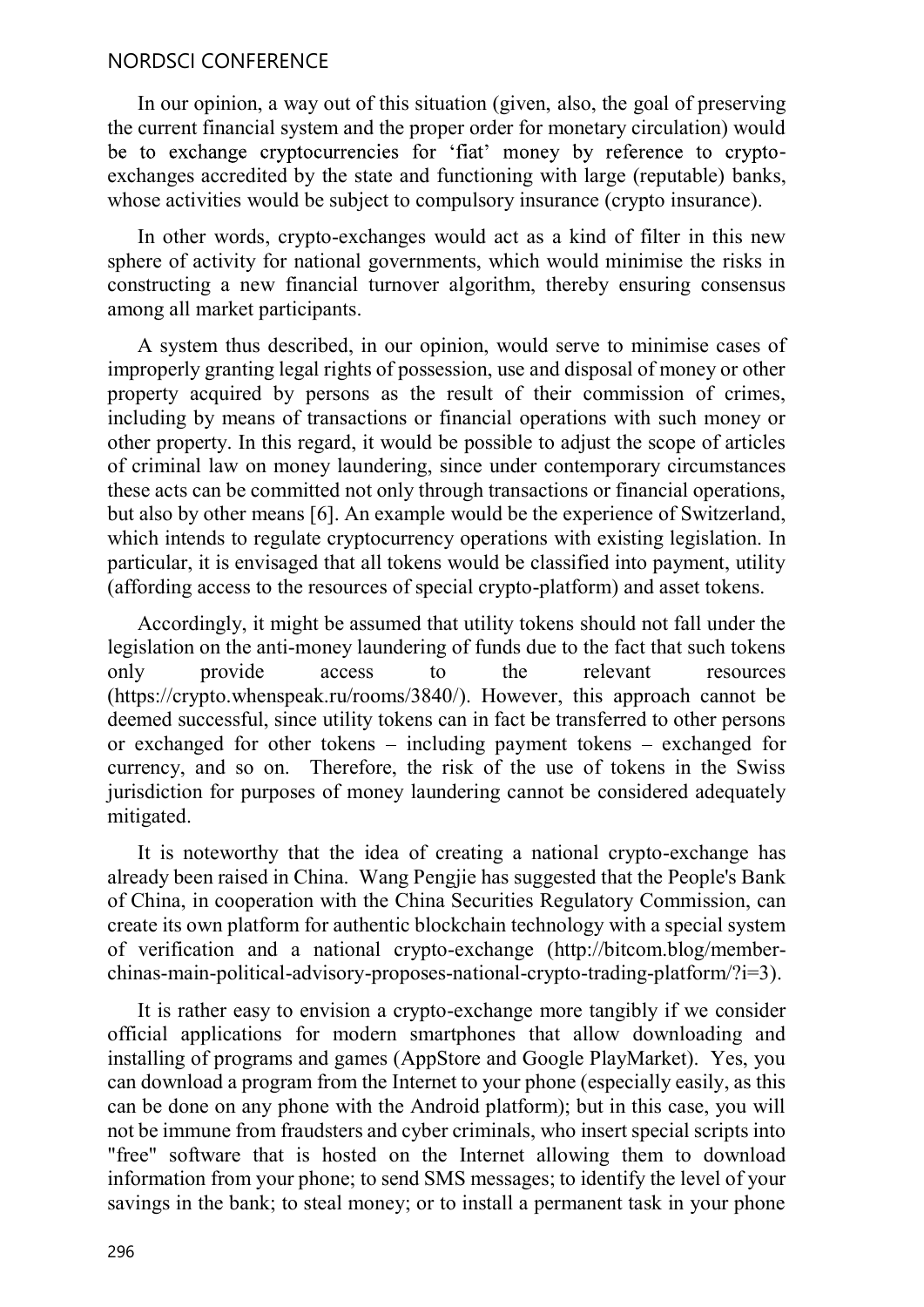### NORDSCI CONFERENCE

In our opinion, a way out of this situation (given, also, the goal of preserving the current financial system and the proper order for monetary circulation) would<br>be to exchange cryptocurrencies for 'fiat' money by reference to cryptoexchanges accredited by the state and functioning with large (reputable) banks, whose activities would be subject to compulsory insurance (crypto insurance).

In other words, crypto-exchanges would act as a kind of filter in this new sphere of activity for national governments, which would minimise the risks in constructing a new financial turnover algorithm, thereby ensuring consensus among all market participants.

A system thus described, in our opinion, would serve to minimise cases of improperly granting legal rights of possession, use and disposal of money or other property acquired by persons as the result of their commission of crimes, including by means of transactions or financial operations with such money or other property. In this regard, it would be possible to adjust the scope of articles of criminal law on money laundering, since under contemporary circumstances these acts can be committed not only through transactions or financial operations, but also by other means [6]. An example would be the experience of Switzerland, which intends to regulate cryptocurrency operations with existing legislation. In particular, it is envisaged that all tokens would be classified into payment, utility (affording access to the resources of special crypto-platform) and asset tokens.

Accordingly, it might be assumed that utility tokens should not fall under the legislation on the anti-money laundering of funds due to the fact that such tokens only provide access to the relevant resources (https://crypto.whenspeak.ru/rooms/3840/). However, this approach cannot be deemed successful, since utility tokens can in fact be transferred to other persons or exchanged for other tokens  $-$  including payment tokens  $-$  exchanged for currency, and so on. Therefore, the risk of the use of tokens in the Swiss jurisdiction for purposes of money laundering cannot be considered adequately mitigated.

It is noteworthy that the idea of creating a national crypto-exchange has already been raised in China. Wang Pengjie has suggested that the People's Bank of China, in cooperation with the China Securities Regulatory Commission, can create its own platform for authentic blockchain technology with a special system of verification and a national crypto-exchange (http://bitcom.blog/memberchinas-main-political-advisory-proposes-national-crypto-trading-platform/?i=3).

It is rather easy to envision a crypto-exchange more tangibly if we consider official applications for modern smartphones that allow downloading and installing of programs and games (AppStore and Google PlayMarket). Yes, you can download a program from the Internet to your phone (especially easily, as this can be done on any phone with the Android platform); but in this case, you will not be immune from fraudsters and cyber criminals, who insert special scripts into "free" software that is hosted on the Internet allowing them to download information from your phone; to send SMS messages; to identify the level of your savings in the bank; to steal money; or to install a permanent task in your phone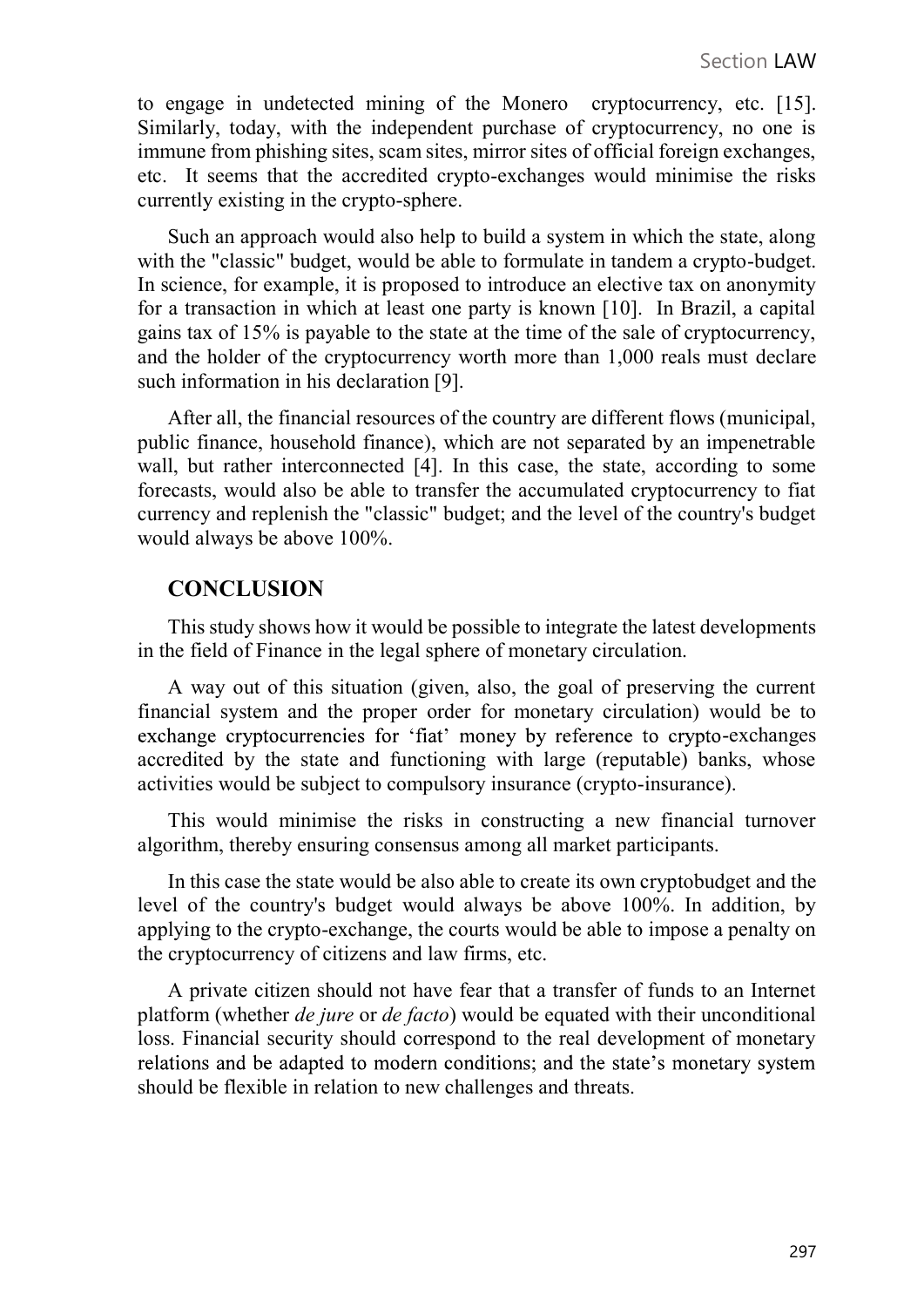to engage in undetected mining of the Monero cryptocurrency, etc. [15]. Similarly, today, with the independent purchase of cryptocurrency, no one is immune from phishing sites, scam sites, mirror sites of official foreign exchanges, etc. It seems that the accredited crypto-exchanges would minimise the risks currently existing in the crypto-sphere.

Such an approach would also help to build a system in which the state, along with the "classic" budget, would be able to formulate in tandem a crypto-budget. In science, for example, it is proposed to introduce an elective tax on anonymity for a transaction in which at least one party is known [10]. In Brazil, a capital gains tax of 15% is payable to the state at the time of the sale of cryptocurrency, and the holder of the cryptocurrency worth more than 1,000 reals must declare such information in his declaration [9].

After all, the financial resources of the country are different flows (municipal, public finance, household finance), which are not separated by an impenetrable wall, but rather interconnected [4]. In this case, the state, according to some forecasts, would also be able to transfer the accumulated cryptocurrency to fiat currency and replenish the "classic" budget; and the level of the country's budget would always be above 100%.

## **CONCLUSION**

This study shows how it would be possible to integrate the latest developments in the field of Finance in the legal sphere of monetary circulation.

A way out of this situation (given, also, the goal of preserving the current financial system and the proper order for monetary circulation) would be to exchange cryptocurrencies for 'fiat' money by reference to crypto-exchanges accredited by the state and functioning with large (reputable) banks, whose activities would be subject to compulsory insurance (crypto-insurance).

This would minimise the risks in constructing a new financial turnover algorithm, thereby ensuring consensus among all market participants.

In this case the state would be also able to create its own cryptobudget and the level of the country's budget would always be above 100%. In addition, by applying to the crypto-exchange, the courts would be able to impose a penalty on the cryptocurrency of citizens and law firms, etc.

A private citizen should not have fear that a transfer of funds to an Internet platform (whether de jure or de facto) would be equated with their unconditional loss. Financial security should correspond to the real development of monetary relations and be adapted to modern conditions; and the state's monetary system should be flexible in relation to new challenges and threats.